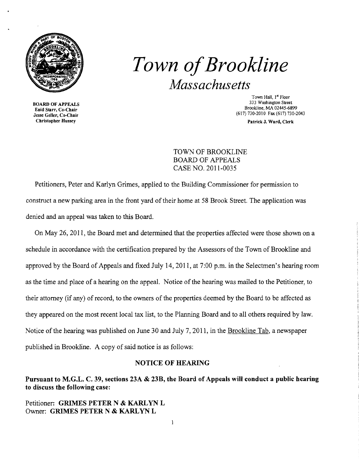

BOARD OF APPEALS Enid Starr, Co-Chair Jesse Geller, Co-Chair Christopher Hussey

*Town ofBrookline Massachusetts* 

> Town Hall, 1st Floor 333 Washington Street Brookline, MA 02445-6899 (617) 730-2010 Fax (617) 730-2043

> > Patrick J. Ward, Clerk

TOWN OF BROOKLINE BOARD OF APPEALS CASE NO. 2011-0035

Petitioners, Peter and Karlyn Grimes, applied to the Building Commissioner for permission to construct a new parking area in the front yard of their home at 58 Brook Street. The application was denied and an appeal was taken to this Board.

On May 26, 2011, the Board met and determined that the properties affected were those shown on a schedule in accordance with the certification prepared by the Assessors of the Town of Brookline and approved by the Board of Appeals and fixed July 14,2011, at 7:00 p.m. in the Selectmen's hearing room as the time and place of a hearing on the appeal. Notice of the hearing was mailed to the Petitioner, to their attorney (if any) of record, to the owners of the properties deemed by the Board to be affected as they appeared on the most recent local tax list, to the Planning Board and to all others required by law. Notice of the hearing was published on June 30 and July 7, 2011, in the Brookline Tab, a newspaper published in Brookline. A copy of said notice is as follows:

## NOTICE OF HEARING

Pursuant to M.G.L. C. 39, sections 23A & 23B, the Board of Appeals will conduct a public hearing to discuss the following case:

Petitioner: GRIMES PETER N & KARLYN L Owner: GRIMES PETER N & KARLYN L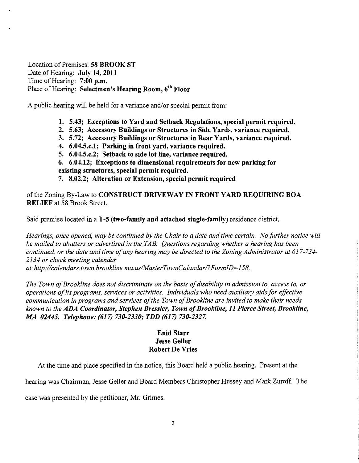Location of Premises: **58 BROOK ST**  Date of Hearing: **July 14,2011**  Time of Hearing: **7:00 p.m.**  Place of Hearing: **Selectmen's Hearing Room, 6th Floor** 

A public hearing will be held for a variance and/or special permit from:

- **1. 5.43; Exceptions to Yard and Setback Regulations, special permit required.**
- **2. 5.63; Accessory Buildings or Structures in Side Yards, variance required.**
- **3. 5.72; Accessory Buildings or Structures in Rear Yards, variance required.**
- **4. 6.04.5.c.1; Parking in front yard, variance required.**
- **5. 6.04.5.c.2; Setback to side lot line, variance required.**
- **6. 6.04.12; Exceptions to dimensional requirements for new parking for existing structures, special permit required.**
- **7. 8.02.2; Alteration or Extension, special permit required**

of the Zoning By-Law to **CONSTRUCT DRIVEWAY IN FRONT YARD REQillRING BOA RELIEF** at 58 Brook Street.

Said premise located in a **T-5 (two-family and attached single-family)** residence district.

*Hearings, once opened, may be continued by the Chair to a date and time certain. No further notice will be mailed to abutters or advertised in the TAB. Questions regarding whether a hearing has been*  continued, or the date and time of any hearing may be directed to the Zoning Administrator at 617-734-*2134 or check meeting calendar* 

*at:http://calendars.town.brookline.ma.usIMasterTownCalandarl?FormID=158.* 

The Town of Brookline does not discriminate on the basis of disability in admission to, access to, or *operations ofits programs, services or activities. Individuals who need auxiliary aids for effective communication in programs and services ofthe Town ofBrookline are invited to make their needs known to the ADA Coordinator, Stephen Bressler, Town ofBrookline,* **11** *Pierce Street, Brookline, MA 02445. Telephone:* **(617)** *730-2330; TDD* **(617)** *730-2327.* 

## **Enid Starr Jesse Geller Robert De Vries**

At the time and place specified in the notice, this Board held a public hearing. Present at the

hearing was Chairman, Jesse Geller and Board Members Christopher Hussey and Mark Zuroff. The

case was presented by the petitioner, Mr. Grimes.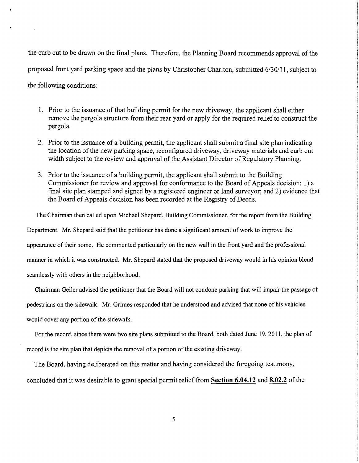the curb cut to be drawn on the final plans. Therefore, the Planning Board recommends approval of the proposed front yard parking space and the plans by Christopher Charlton, submitted 6/30/11, subject to the following conditions:

- 1. Prior to the issuance of that building permit for the new driveway, the applicant shall either remove the pergola structure from their rear yard or apply for the required relief to construct the pergola.
- 2. Prior to the issuance of a building permit, the applicant shall submit a final site plan indicating the location of the new parking space, reconfigured driveway, driveway materials and curb cut width subject to the review and approval of the Assistant Director of Regulatory Planning.
- 3. Prior to the issuance of a building permit, the applicant shall submit to the Building Commissioner for review and approval for conformance to the Board of Appeals decision: 1) a final site plan stamped and signed by a registered engineer or land surveyor; and 2) evidence that the Board of Appeals decision has been recorded at the Registry of Deeds.

The Chairman then called upon Michael Shepard, Building Commissioner, for the report from the Building

Department. Mr. Shepard said that the petitioner has done a significant amount of work to improve the appearance of their home. He commented particularly on the new wall in the front yard and the professional manner in which it was constructed. Mr. Shepard stated that the proposed driveway would in his opinion blend seamlessly with others in the neighborhood.

Chairman Geller advised the petitioner that the Board will not condone parking that will impair the passage of pedestrians on the sidewalk. Mr. Grimes responded that he understood and advised that none of his vehicles would cover any portion of the sidewalk.

For the record, since there were two site plans submitted to the Board, both dated June 19,2011, the plan of record is the site plan that depicts the removal of a portion of the existing driveway.

The Board, having deliberated on this matter and having considered the foregoing testimony,

concluded that it was desirable to grant special permit relief from **Section 6.04.12 and 8.02.2** of the